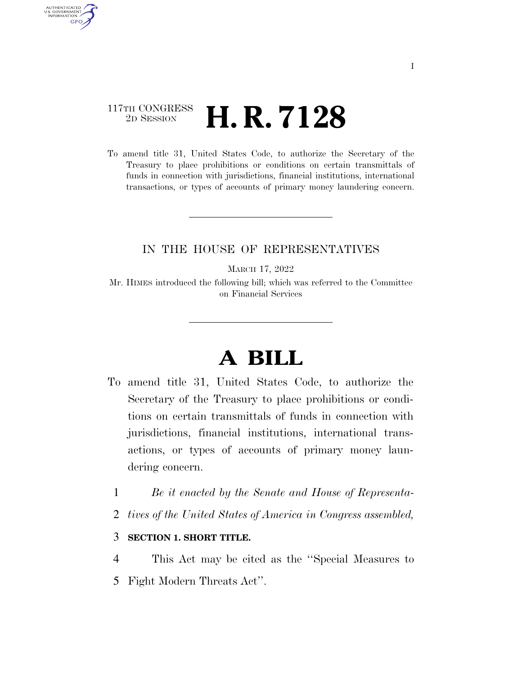## 117TH CONGRESS <sup>2D SESSION</sup> **H. R. 7128**

AUTHENTICATED U.S. GOVERNMENT **GPO** 

> To amend title 31, United States Code, to authorize the Secretary of the Treasury to place prohibitions or conditions on certain transmittals of funds in connection with jurisdictions, financial institutions, international transactions, or types of accounts of primary money laundering concern.

### IN THE HOUSE OF REPRESENTATIVES

MARCH 17, 2022

Mr. HIMES introduced the following bill; which was referred to the Committee on Financial Services

# **A BILL**

- To amend title 31, United States Code, to authorize the Secretary of the Treasury to place prohibitions or conditions on certain transmittals of funds in connection with jurisdictions, financial institutions, international transactions, or types of accounts of primary money laundering concern.
	- 1 *Be it enacted by the Senate and House of Representa-*
	- 2 *tives of the United States of America in Congress assembled,*

#### 3 **SECTION 1. SHORT TITLE.**

4 This Act may be cited as the ''Special Measures to 5 Fight Modern Threats Act''.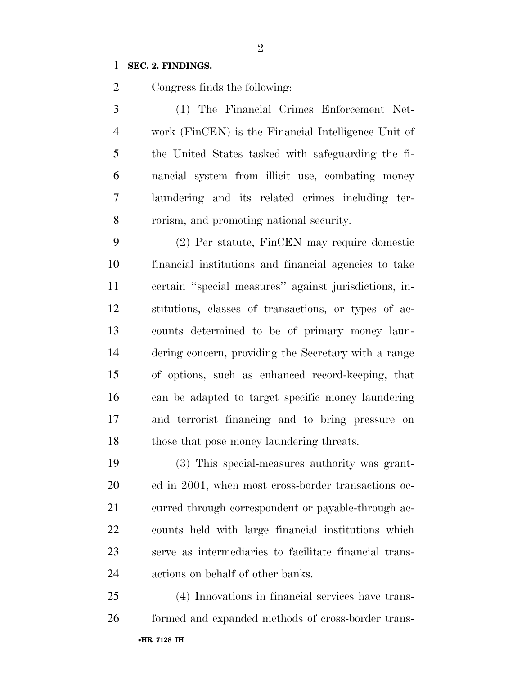### **SEC. 2. FINDINGS.**

Congress finds the following:

 (1) The Financial Crimes Enforcement Net- work (FinCEN) is the Financial Intelligence Unit of the United States tasked with safeguarding the fi- nancial system from illicit use, combating money laundering and its related crimes including ter-rorism, and promoting national security.

 (2) Per statute, FinCEN may require domestic financial institutions and financial agencies to take certain ''special measures'' against jurisdictions, in- stitutions, classes of transactions, or types of ac- counts determined to be of primary money laun- dering concern, providing the Secretary with a range of options, such as enhanced record-keeping, that can be adapted to target specific money laundering and terrorist financing and to bring pressure on those that pose money laundering threats.

 (3) This special-measures authority was grant- ed in 2001, when most cross-border transactions oc- curred through correspondent or payable-through ac- counts held with large financial institutions which serve as intermediaries to facilitate financial trans-actions on behalf of other banks.

•**HR 7128 IH** (4) Innovations in financial services have trans-formed and expanded methods of cross-border trans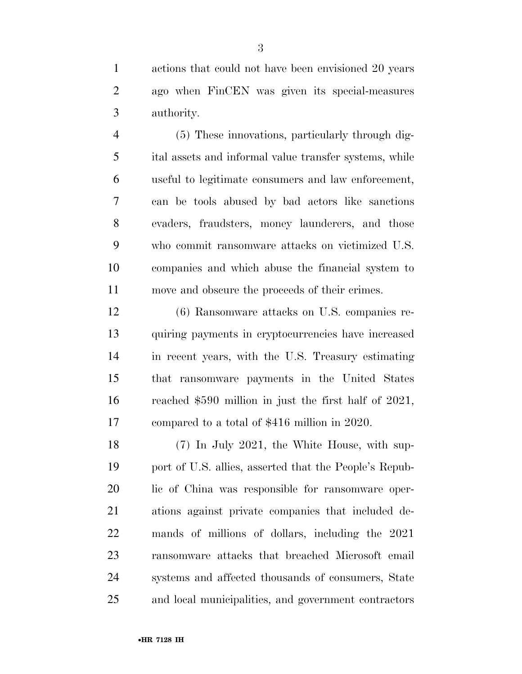actions that could not have been envisioned 20 years ago when FinCEN was given its special-measures authority.

 (5) These innovations, particularly through dig- ital assets and informal value transfer systems, while useful to legitimate consumers and law enforcement, can be tools abused by bad actors like sanctions evaders, fraudsters, money launderers, and those who commit ransomware attacks on victimized U.S. companies and which abuse the financial system to move and obscure the proceeds of their crimes.

 (6) Ransomware attacks on U.S. companies re- quiring payments in cryptocurrencies have increased in recent years, with the U.S. Treasury estimating that ransomware payments in the United States reached \$590 million in just the first half of 2021, compared to a total of \$416 million in 2020.

 (7) In July 2021, the White House, with sup- port of U.S. allies, asserted that the People's Repub- lic of China was responsible for ransomware oper- ations against private companies that included de- mands of millions of dollars, including the 2021 ransomware attacks that breached Microsoft email systems and affected thousands of consumers, State and local municipalities, and government contractors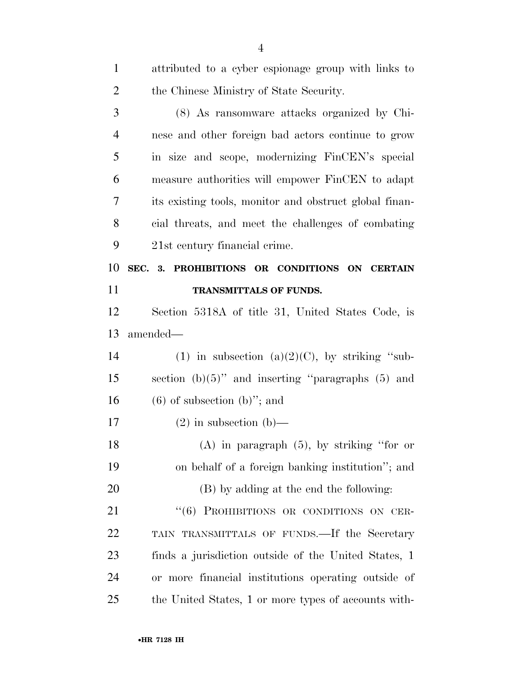| $\mathbf{1}$   | attributed to a cyber espionage group with links to    |
|----------------|--------------------------------------------------------|
| $\overline{2}$ | the Chinese Ministry of State Security.                |
| 3              | (8) As ransomware attacks organized by Chi-            |
| $\overline{4}$ | nese and other foreign bad actors continue to grow     |
| 5              | in size and scope, modernizing FinCEN's special        |
| 6              | measure authorities will empower FinCEN to adapt       |
| 7              | its existing tools, monitor and obstruct global finan- |
| 8              | cial threats, and meet the challenges of combating     |
| 9              | 21st century financial crime.                          |
| 10             | SEC. 3. PROHIBITIONS OR CONDITIONS ON CERTAIN          |
| 11             | TRANSMITTALS OF FUNDS.                                 |
| 12             | Section 5318A of title 31, United States Code, is      |
| 13             | amended—                                               |
| 14             | (1) in subsection (a) $(2)(C)$ , by striking "sub-     |
| 15             | section $(b)(5)$ " and inserting "paragraphs $(5)$ and |
| 16             | $(6)$ of subsection $(b)$ "; and                       |
| 17             | $(2)$ in subsection $(b)$ —                            |
| 18             | $(A)$ in paragraph $(5)$ , by striking "for or         |
| 19             | on behalf of a foreign banking institution"; and       |
| 20             | (B) by adding at the end the following:                |
| 21             | "(6) PROHIBITIONS OR CONDITIONS ON CER-                |
| 22             | TAIN TRANSMITTALS OF FUNDS.—If the Secretary           |
| 23             | finds a jurisdiction outside of the United States, 1   |
| 24             | or more financial institutions operating outside of    |
| $25\,$         | the United States, 1 or more types of accounts with-   |